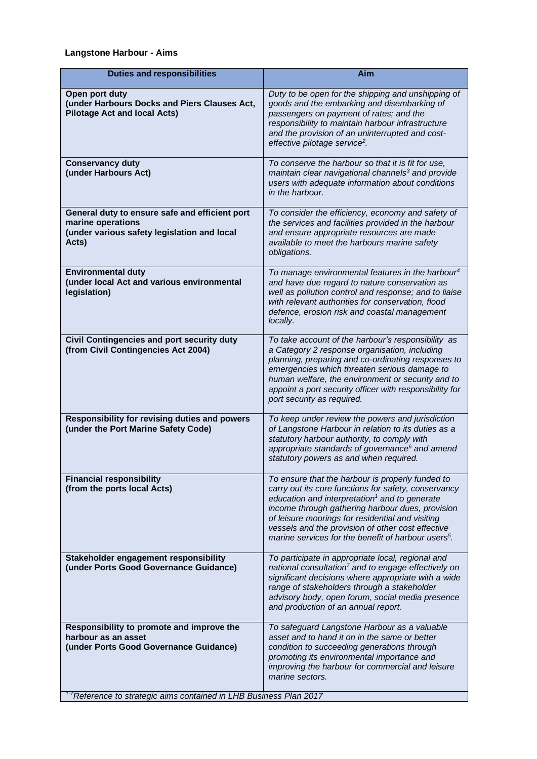## **Langstone Harbour - Aims**

| <b>Duties and responsibilities</b>                                                                                          | Aim                                                                                                                                                                                                                                                                                                                                                                                                   |
|-----------------------------------------------------------------------------------------------------------------------------|-------------------------------------------------------------------------------------------------------------------------------------------------------------------------------------------------------------------------------------------------------------------------------------------------------------------------------------------------------------------------------------------------------|
| Open port duty<br>(under Harbours Docks and Piers Clauses Act,<br><b>Pilotage Act and local Acts)</b>                       | Duty to be open for the shipping and unshipping of<br>goods and the embarking and disembarking of<br>passengers on payment of rates; and the<br>responsibility to maintain harbour infrastructure<br>and the provision of an uninterrupted and cost-<br>effective pilotage service <sup>2</sup> .                                                                                                     |
| <b>Conservancy duty</b><br>(under Harbours Act)                                                                             | To conserve the harbour so that it is fit for use,<br>maintain clear navigational channels <sup>3</sup> and provide<br>users with adequate information about conditions<br>in the harbour.                                                                                                                                                                                                            |
| General duty to ensure safe and efficient port<br>marine operations<br>(under various safety legislation and local<br>Acts) | To consider the efficiency, economy and safety of<br>the services and facilities provided in the harbour<br>and ensure appropriate resources are made<br>available to meet the harbours marine safety<br>obligations.                                                                                                                                                                                 |
| <b>Environmental duty</b><br>(under local Act and various environmental<br>legislation)                                     | To manage environmental features in the harbour <sup>4</sup><br>and have due regard to nature conservation as<br>well as pollution control and response; and to liaise<br>with relevant authorities for conservation, flood<br>defence, erosion risk and coastal management<br>locally.                                                                                                               |
| <b>Civil Contingencies and port security duty</b><br>(from Civil Contingencies Act 2004)                                    | To take account of the harbour's responsibility as<br>a Category 2 response organisation, including<br>planning, preparing and co-ordinating responses to<br>emergencies which threaten serious damage to<br>human welfare, the environment or security and to<br>appoint a port security officer with responsibility for<br>port security as required.                                               |
| Responsibility for revising duties and powers<br>(under the Port Marine Safety Code)                                        | To keep under review the powers and jurisdiction<br>of Langstone Harbour in relation to its duties as a<br>statutory harbour authority, to comply with<br>appropriate standards of governance <sup>6</sup> and amend<br>statutory powers as and when required.                                                                                                                                        |
| <b>Financial responsibility</b><br>(from the ports local Acts)                                                              | To ensure that the harbour is properly funded to<br>carry out its core functions for safety, conservancy<br>education and interpretation <sup>1</sup> and to generate<br>income through gathering harbour dues, provision<br>of leisure moorings for residential and visiting<br>vessels and the provision of other cost effective<br>marine services for the benefit of harbour users <sup>5</sup> . |
| Stakeholder engagement responsibility<br>(under Ports Good Governance Guidance)                                             | To participate in appropriate local, regional and<br>national consultation <sup>7</sup> and to engage effectively on<br>significant decisions where appropriate with a wide<br>range of stakeholders through a stakeholder<br>advisory body, open forum, social media presence<br>and production of an annual report.                                                                                 |
| Responsibility to promote and improve the<br>harbour as an asset<br>(under Ports Good Governance Guidance)                  | To safeguard Langstone Harbour as a valuable<br>asset and to hand it on in the same or better<br>condition to succeeding generations through<br>promoting its environmental importance and<br>improving the harbour for commercial and leisure<br>marine sectors.                                                                                                                                     |
| <sup>1-7</sup> Reference to strategic aims contained in LHB Business Plan 2017                                              |                                                                                                                                                                                                                                                                                                                                                                                                       |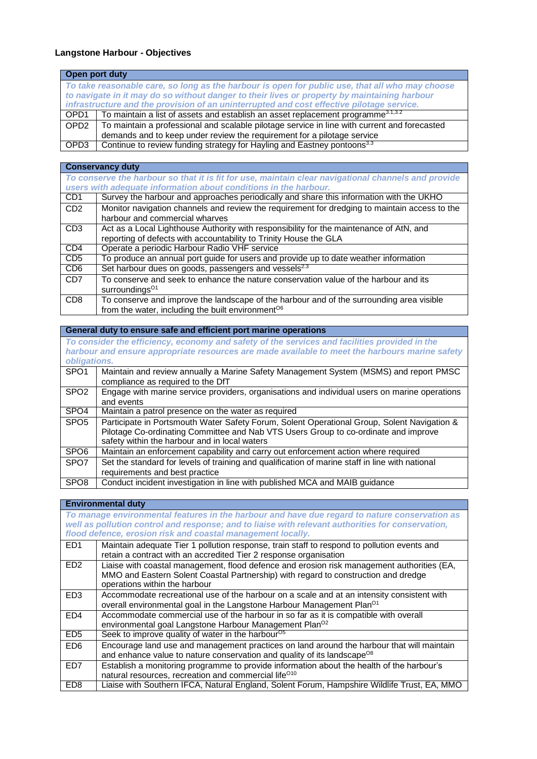## **Langstone Harbour - Objectives**

| Open port duty                                                                                  |  |  |
|-------------------------------------------------------------------------------------------------|--|--|
| To take reasonable care, so long as the harbour is open for public use, that all who may choose |  |  |
| to navigate in it may do so without danger to their lives or property by maintaining harbour    |  |  |
| infrastructure and the provision of an uninterrupted and cost effective pilotage service.       |  |  |
|                                                                                                 |  |  |
|                                                                                                 |  |  |
|                                                                                                 |  |  |
|                                                                                                 |  |  |
|                                                                                                 |  |  |

## **Conservancy duty**

| To conserve the harbour so that it is fit for use, maintain clear navigational channels and provide |                                                                                               |  |
|-----------------------------------------------------------------------------------------------------|-----------------------------------------------------------------------------------------------|--|
|                                                                                                     | users with adequate information about conditions in the harbour.                              |  |
| CD <sub>1</sub>                                                                                     | Survey the harbour and approaches periodically and share this information with the UKHO       |  |
| CD <sub>2</sub>                                                                                     | Monitor navigation channels and review the requirement for dredging to maintain access to the |  |
|                                                                                                     | harbour and commercial wharves                                                                |  |
| CD <sub>3</sub>                                                                                     | Act as a Local Lighthouse Authority with responsibility for the maintenance of AtN, and       |  |
|                                                                                                     | reporting of defects with accountability to Trinity House the GLA                             |  |
| CD4                                                                                                 | Operate a periodic Harbour Radio VHF service                                                  |  |
| CD5                                                                                                 | To produce an annual port guide for users and provide up to date weather information          |  |
| CD <sub>6</sub>                                                                                     | Set harbour dues on goods, passengers and vessels <sup>2.3</sup>                              |  |
| CD <sub>7</sub>                                                                                     | To conserve and seek to enhance the nature conservation value of the harbour and its          |  |
|                                                                                                     | surroundings <sup>01</sup>                                                                    |  |
| CD <sub>8</sub>                                                                                     | To conserve and improve the landscape of the harbour and of the surrounding area visible      |  |
|                                                                                                     | from the water, including the built environment <sup>06</sup>                                 |  |

|                  | General duty to ensure safe and efficient port marine operations                                                                                                                                                                    |
|------------------|-------------------------------------------------------------------------------------------------------------------------------------------------------------------------------------------------------------------------------------|
| obligations.     | To consider the efficiency, economy and safety of the services and facilities provided in the<br>harbour and ensure appropriate resources are made available to meet the harbours marine safety                                     |
| SPO <sub>1</sub> | Maintain and review annually a Marine Safety Management System (MSMS) and report PMSC<br>compliance as required to the DfT                                                                                                          |
| SPO <sub>2</sub> | Engage with marine service providers, organisations and individual users on marine operations<br>and events                                                                                                                         |
| SPO <sub>4</sub> | Maintain a patrol presence on the water as required                                                                                                                                                                                 |
| SPO <sub>5</sub> | Participate in Portsmouth Water Safety Forum, Solent Operational Group, Solent Navigation &<br>Pilotage Co-ordinating Committee and Nab VTS Users Group to co-ordinate and improve<br>safety within the harbour and in local waters |
| SPO <sub>6</sub> | Maintain an enforcement capability and carry out enforcement action where required                                                                                                                                                  |
| SPO <sub>7</sub> | Set the standard for levels of training and qualification of marine staff in line with national<br>requirements and best practice                                                                                                   |
| SPO <sub>8</sub> | Conduct incident investigation in line with published MCA and MAIB guidance                                                                                                                                                         |

|                 | <b>Environmental duty</b>                                                                                                                                                                                                                                         |
|-----------------|-------------------------------------------------------------------------------------------------------------------------------------------------------------------------------------------------------------------------------------------------------------------|
|                 | To manage environmental features in the harbour and have due regard to nature conservation as<br>well as pollution control and response; and to liaise with relevant authorities for conservation,<br>flood defence, erosion risk and coastal management locally. |
| ED <sub>1</sub> | Maintain adequate Tier 1 pollution response, train staff to respond to pollution events and<br>retain a contract with an accredited Tier 2 response organisation                                                                                                  |
| ED <sub>2</sub> | Liaise with coastal management, flood defence and erosion risk management authorities (EA,<br>MMO and Eastern Solent Coastal Partnership) with regard to construction and dredge<br>operations within the harbour                                                 |
| ED <sub>3</sub> | Accommodate recreational use of the harbour on a scale and at an intensity consistent with<br>overall environmental goal in the Langstone Harbour Management Plan <sup>01</sup>                                                                                   |
| ED <sub>4</sub> | Accommodate commercial use of the harbour in so far as it is compatible with overall<br>environmental goal Langstone Harbour Management Plan <sup>02</sup>                                                                                                        |
| ED <sub>5</sub> | Seek to improve quality of water in the harbour <sup>05</sup>                                                                                                                                                                                                     |
| ED <sub>6</sub> | Encourage land use and management practices on land around the harbour that will maintain<br>and enhance value to nature conservation and quality of its landscape <sup>08</sup>                                                                                  |
| ED7             | Establish a monitoring programme to provide information about the health of the harbour's<br>natural resources, recreation and commercial life <sup>010</sup>                                                                                                     |
| ED <sub>8</sub> | Liaise with Southern IFCA, Natural England, Solent Forum, Hampshire Wildlife Trust, EA, MMO                                                                                                                                                                       |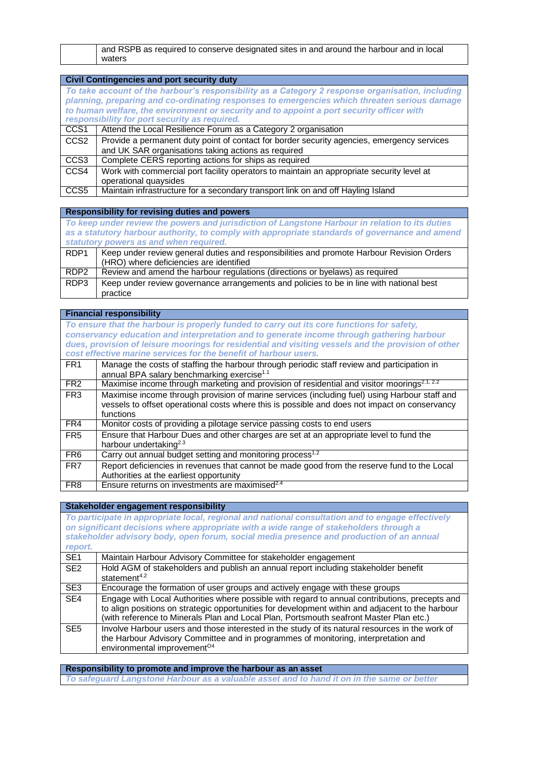and RSPB as required to conserve designated sites in and around the harbour and in local waters

|                                                                                                                                                                                                                                                                                                                                                | <b>Civil Contingencies and port security duty</b>                                                                                                 |  |  |
|------------------------------------------------------------------------------------------------------------------------------------------------------------------------------------------------------------------------------------------------------------------------------------------------------------------------------------------------|---------------------------------------------------------------------------------------------------------------------------------------------------|--|--|
| To take account of the harbour's responsibility as a Category 2 response organisation, including<br>planning, preparing and co-ordinating responses to emergencies which threaten serious damage<br>to human welfare, the environment or security and to appoint a port security officer with<br>responsibility for port security as required. |                                                                                                                                                   |  |  |
| CCS <sub>1</sub>                                                                                                                                                                                                                                                                                                                               | Attend the Local Resilience Forum as a Category 2 organisation                                                                                    |  |  |
| CCS <sub>2</sub>                                                                                                                                                                                                                                                                                                                               | Provide a permanent duty point of contact for border security agencies, emergency services<br>and UK SAR organisations taking actions as required |  |  |
| CCS <sub>3</sub>                                                                                                                                                                                                                                                                                                                               | Complete CERS reporting actions for ships as required                                                                                             |  |  |
| CCS4                                                                                                                                                                                                                                                                                                                                           | Work with commercial port facility operators to maintain an appropriate security level at<br>operational quaysides                                |  |  |
| CCS <sub>5</sub>                                                                                                                                                                                                                                                                                                                               | Maintain infrastructure for a secondary transport link on and off Hayling Island                                                                  |  |  |

| <b>Responsibility for revising duties and powers</b> |  |  |  |
|------------------------------------------------------|--|--|--|
|                                                      |  |  |  |

| To keep under review the powers and jurisdiction of Langstone Harbour in relation to its duties<br>as a statutory harbour authority, to comply with appropriate standards of governance and amend<br>statutory powers as and when required. |                                                                                                                                      |  |
|---------------------------------------------------------------------------------------------------------------------------------------------------------------------------------------------------------------------------------------------|--------------------------------------------------------------------------------------------------------------------------------------|--|
| RDP <sub>1</sub>                                                                                                                                                                                                                            | Keep under review general duties and responsibilities and promote Harbour Revision Orders<br>(HRO) where deficiencies are identified |  |
| RDP <sub>2</sub>                                                                                                                                                                                                                            | Review and amend the harbour regulations (directions or byelaws) as required                                                         |  |
| RDP3                                                                                                                                                                                                                                        | Keep under review governance arrangements and policies to be in line with national best                                              |  |
|                                                                                                                                                                                                                                             | practice                                                                                                                             |  |

|                 | <b>Financial responsibility</b>                                                                                                                                                                                                                                                               |  |
|-----------------|-----------------------------------------------------------------------------------------------------------------------------------------------------------------------------------------------------------------------------------------------------------------------------------------------|--|
|                 | To ensure that the harbour is properly funded to carry out its core functions for safety,<br>conservancy education and interpretation and to generate income through gathering harbour<br>dues, provision of leisure moorings for residential and visiting vessels and the provision of other |  |
|                 | cost effective marine services for the benefit of harbour users.                                                                                                                                                                                                                              |  |
| FR <sub>1</sub> | Manage the costs of staffing the harbour through periodic staff review and participation in<br>annual BPA salary benchmarking exercise <sup>1.1</sup>                                                                                                                                         |  |
| FR2             | Maximise income through marketing and provision of residential and visitor moorings <sup>2.1, 2.2</sup>                                                                                                                                                                                       |  |
| FR <sub>3</sub> | Maximise income through provision of marine services (including fuel) using Harbour staff and<br>vessels to offset operational costs where this is possible and does not impact on conservancy<br>functions                                                                                   |  |
| FR4             | Monitor costs of providing a pilotage service passing costs to end users                                                                                                                                                                                                                      |  |
| FR <sub>5</sub> | Ensure that Harbour Dues and other charges are set at an appropriate level to fund the<br>harbour undertaking <sup>2.3</sup>                                                                                                                                                                  |  |
| FR6             | Carry out annual budget setting and monitoring process <sup>1.2</sup>                                                                                                                                                                                                                         |  |
| FR7             | Report deficiencies in revenues that cannot be made good from the reserve fund to the Local<br>Authorities at the earliest opportunity                                                                                                                                                        |  |
| FR <sub>8</sub> | Ensure returns on investments are maximised <sup>2.4</sup>                                                                                                                                                                                                                                    |  |

|                                                                                                                                                                                                                                                                                                    | Stakeholder engagement responsibility                                                                                                                                                                                                                                                        |
|----------------------------------------------------------------------------------------------------------------------------------------------------------------------------------------------------------------------------------------------------------------------------------------------------|----------------------------------------------------------------------------------------------------------------------------------------------------------------------------------------------------------------------------------------------------------------------------------------------|
| To participate in appropriate local, regional and national consultation and to engage effectively<br>on significant decisions where appropriate with a wide range of stakeholders through a<br>stakeholder advisory body, open forum, social media presence and production of an annual<br>report. |                                                                                                                                                                                                                                                                                              |
| SE <sub>1</sub>                                                                                                                                                                                                                                                                                    | Maintain Harbour Advisory Committee for stakeholder engagement                                                                                                                                                                                                                               |
| SE <sub>2</sub>                                                                                                                                                                                                                                                                                    | Hold AGM of stakeholders and publish an annual report including stakeholder benefit<br>statement <sup>4.2</sup>                                                                                                                                                                              |
| SE <sub>3</sub>                                                                                                                                                                                                                                                                                    | Encourage the formation of user groups and actively engage with these groups                                                                                                                                                                                                                 |
| SE4                                                                                                                                                                                                                                                                                                | Engage with Local Authorities where possible with regard to annual contributions, precepts and<br>to align positions on strategic opportunities for development within and adjacent to the harbour<br>(with reference to Minerals Plan and Local Plan, Portsmouth seafront Master Plan etc.) |
| SE <sub>5</sub>                                                                                                                                                                                                                                                                                    | Involve Harbour users and those interested in the study of its natural resources in the work of<br>the Harbour Advisory Committee and in programmes of monitoring, interpretation and<br>environmental improvement <sup>O4</sup>                                                             |

**Responsibility to promote and improve the harbour as an asset** *To safeguard Langstone Harbour as a valuable asset and to hand it on in the same or better*